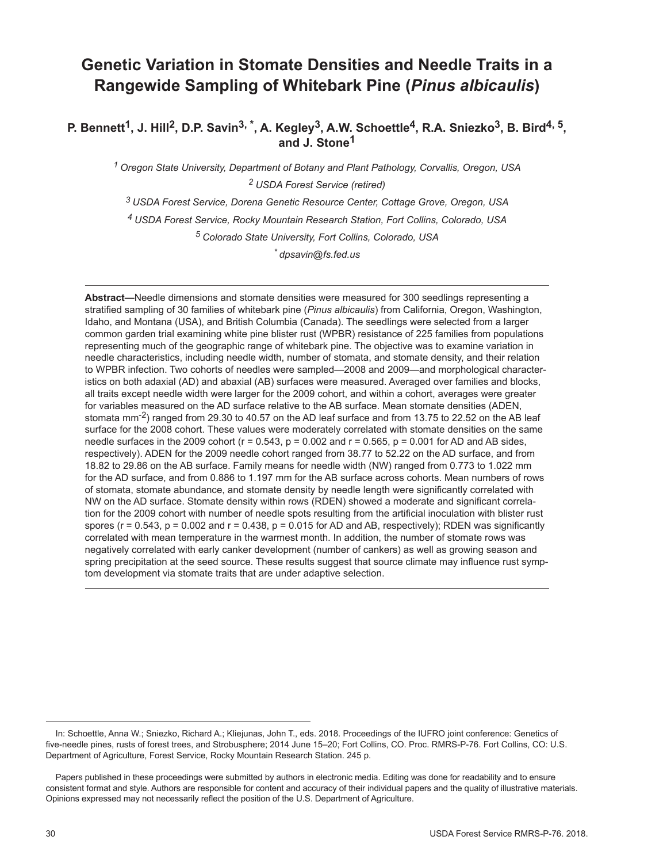# **Genetic Variation in Stomate Densities and Needle Traits in a Rangewide Sampling of Whitebark Pine (***Pinus albicaulis***)**

P. Bennett<sup>1</sup>, J. Hill<sup>2</sup>, D.P. Savin<sup>3, \*</sup>, A. Kegley<sup>3</sup>, A.W. Schoettle<sup>4</sup>, R.A. Sniezko<sup>3</sup>, B. Bird<sup>4, 5</sup>, **and J. Stone1**

*1 Oregon State University, Department of Botany and Plant Pathology, Corvallis, Oregon, USA 2 USDA Forest Service (retired)*

*3 USDA Forest Service, Dorena Genetic Resource Center, Cottage Grove, Oregon, USA*

*4 USDA Forest Service, Rocky Mountain Research Station, Fort Collins, Colorado, USA*

*5 Colorado State University, Fort Collins, Colorado, USA*

*\* dpsavin@fs.fed.us* 

**Abstract—**Needle dimensions and stomate densities were measured for 300 seedlings representing a stratified sampling of 30 families of whitebark pine (*Pinus albicaulis*) from California, Oregon, Washington, Idaho, and Montana (USA), and British Columbia (Canada). The seedlings were selected from a larger common garden trial examining white pine blister rust (WPBR) resistance of 225 families from populations representing much of the geographic range of whitebark pine. The objective was to examine variation in needle characteristics, including needle width, number of stomata, and stomate density, and their relation to WPBR infection. Two cohorts of needles were sampled—2008 and 2009—and morphological characteristics on both adaxial (AD) and abaxial (AB) surfaces were measured. Averaged over families and blocks, all traits except needle width were larger for the 2009 cohort, and within a cohort, averages were greater for variables measured on the AD surface relative to the AB surface. Mean stomate densities (ADEN, stomata mm<sup>-2</sup>) ranged from 29.30 to 40.57 on the AD leaf surface and from 13.75 to 22.52 on the AB leaf surface for the 2008 cohort. These values were moderately correlated with stomate densities on the same needle surfaces in the 2009 cohort ( $r = 0.543$ ,  $p = 0.002$  and  $r = 0.565$ ,  $p = 0.001$  for AD and AB sides, respectively). ADEN for the 2009 needle cohort ranged from 38.77 to 52.22 on the AD surface, and from 18.82 to 29.86 on the AB surface. Family means for needle width (NW) ranged from 0.773 to 1.022 mm for the AD surface, and from 0.886 to 1.197 mm for the AB surface across cohorts. Mean numbers of rows of stomata, stomate abundance, and stomate density by needle length were significantly correlated with NW on the AD surface. Stomate density within rows (RDEN) showed a moderate and significant correlation for the 2009 cohort with number of needle spots resulting from the artificial inoculation with blister rust spores ( $r = 0.543$ ,  $p = 0.002$  and  $r = 0.438$ ,  $p = 0.015$  for AD and AB, respectively); RDEN was significantly correlated with mean temperature in the warmest month. In addition, the number of stomate rows was negatively correlated with early canker development (number of cankers) as well as growing season and spring precipitation at the seed source. These results suggest that source climate may influence rust symptom development via stomate traits that are under adaptive selection.

In: Schoettle, Anna W.; Sniezko, Richard A.; Kliejunas, John T., eds. 2018. Proceedings of the IUFRO joint conference: Genetics of five-needle pines, rusts of forest trees, and Strobusphere; 2014 June 15–20; Fort Collins, CO. Proc. RMRS-P-76. Fort Collins, CO: U.S. Department of Agriculture, Forest Service, Rocky Mountain Research Station. 245 p.

Papers published in these proceedings were submitted by authors in electronic media. Editing was done for readability and to ensure consistent format and style. Authors are responsible for content and accuracy of their individual papers and the quality of illustrative materials. Opinions expressed may not necessarily reflect the position of the U.S. Department of Agriculture.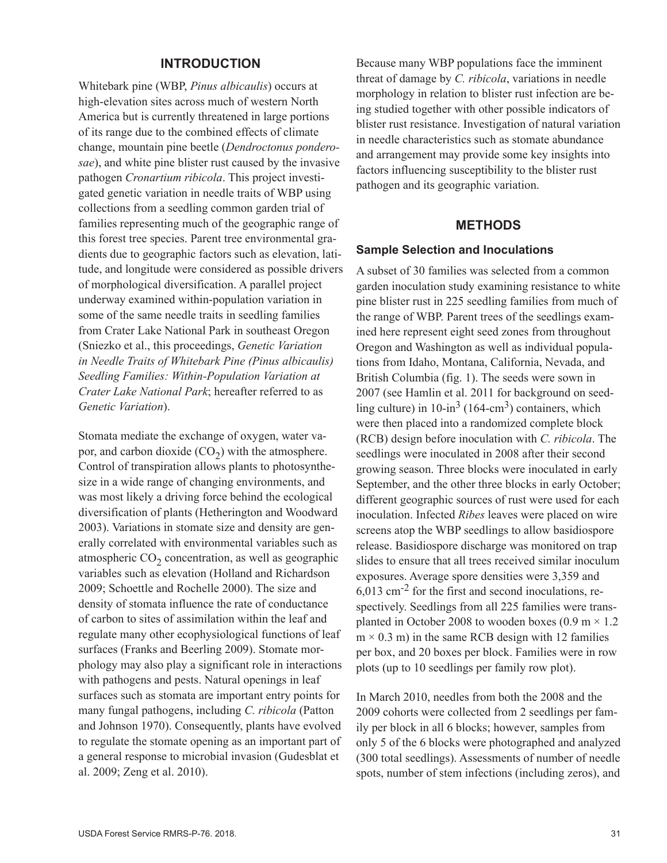### **INTRODUCTION**

Whitebark pine (WBP, *Pinus albicaulis*) occurs at high-elevation sites across much of western North America but is currently threatened in large portions of its range due to the combined effects of climate change, mountain pine beetle (*Dendroctonus ponderosae*), and white pine blister rust caused by the invasive pathogen *Cronartium ribicola*. This project investigated genetic variation in needle traits of WBP using collections from a seedling common garden trial of families representing much of the geographic range of this forest tree species. Parent tree environmental gradients due to geographic factors such as elevation, latitude, and longitude were considered as possible drivers of morphological diversification. A parallel project underway examined within-population variation in some of the same needle traits in seedling families from Crater Lake National Park in southeast Oregon (Sniezko et al., this proceedings, *Genetic Variation in Needle Traits of Whitebark Pine (Pinus albicaulis) Seedling Families: Within-Population Variation at Crater Lake National Park*; hereafter referred to as *Genetic Variation*).

Stomata mediate the exchange of oxygen, water vapor, and carbon dioxide  $(CO<sub>2</sub>)$  with the atmosphere. Control of transpiration allows plants to photosynthesize in a wide range of changing environments, and was most likely a driving force behind the ecological diversification of plants (Hetherington and Woodward 2003). Variations in stomate size and density are generally correlated with environmental variables such as atmospheric  $CO<sub>2</sub>$  concentration, as well as geographic variables such as elevation (Holland and Richardson 2009; Schoettle and Rochelle 2000). The size and density of stomata influence the rate of conductance of carbon to sites of assimilation within the leaf and regulate many other ecophysiological functions of leaf surfaces (Franks and Beerling 2009). Stomate morphology may also play a significant role in interactions with pathogens and pests. Natural openings in leaf surfaces such as stomata are important entry points for many fungal pathogens, including *C. ribicola* (Patton and Johnson 1970). Consequently, plants have evolved to regulate the stomate opening as an important part of a general response to microbial invasion (Gudesblat et al. 2009; Zeng et al. 2010).

Because many WBP populations face the imminent threat of damage by *C. ribicola*, variations in needle morphology in relation to blister rust infection are being studied together with other possible indicators of blister rust resistance. Investigation of natural variation in needle characteristics such as stomate abundance and arrangement may provide some key insights into factors influencing susceptibility to the blister rust pathogen and its geographic variation.

### **METHODS**

#### **Sample Selection and Inoculations**

A subset of 30 families was selected from a common garden inoculation study examining resistance to white pine blister rust in 225 seedling families from much of the range of WBP. Parent trees of the seedlings examined here represent eight seed zones from throughout Oregon and Washington as well as individual populations from Idaho, Montana, California, Nevada, and British Columbia (fig. 1). The seeds were sown in 2007 (see Hamlin et al. 2011 for background on seedling culture) in  $10$ -in<sup>3</sup> (164-cm<sup>3</sup>) containers, which were then placed into a randomized complete block (RCB) design before inoculation with *C. ribicola*. The seedlings were inoculated in 2008 after their second growing season. Three blocks were inoculated in early September, and the other three blocks in early October; different geographic sources of rust were used for each inoculation. Infected *Ribes* leaves were placed on wire screens atop the WBP seedlings to allow basidiospore release. Basidiospore discharge was monitored on trap slides to ensure that all trees received similar inoculum exposures. Average spore densities were 3,359 and 6,013 cm-2 for the first and second inoculations, respectively. Seedlings from all 225 families were transplanted in October 2008 to wooden boxes (0.9 m  $\times$  1.2  $m \times 0.3$  m) in the same RCB design with 12 families per box, and 20 boxes per block. Families were in row plots (up to 10 seedlings per family row plot).

In March 2010, needles from both the 2008 and the 2009 cohorts were collected from 2 seedlings per family per block in all 6 blocks; however, samples from only 5 of the 6 blocks were photographed and analyzed (300 total seedlings). Assessments of number of needle spots, number of stem infections (including zeros), and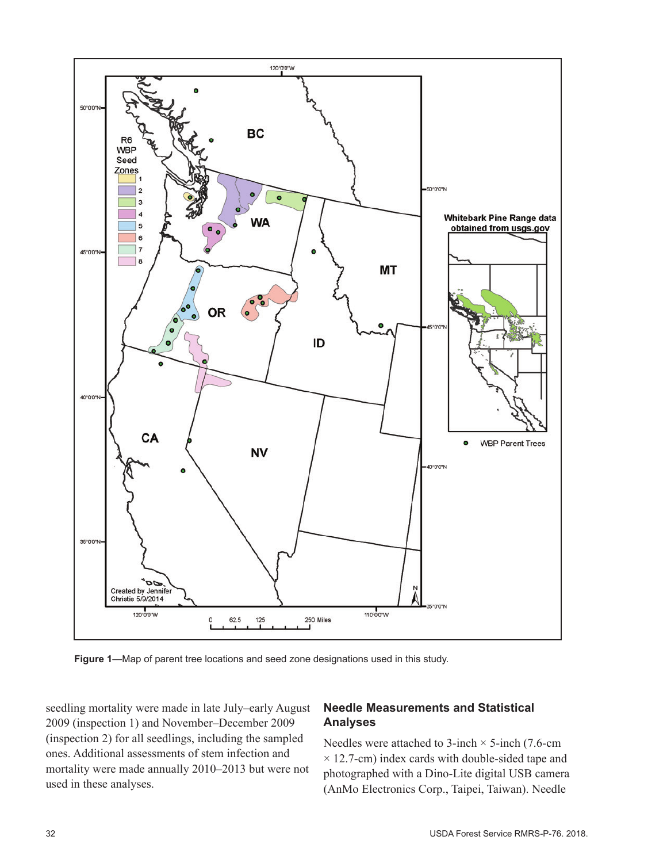

**Figure 1**—Map of parent tree locations and seed zone designations used in this study.

seedling mortality were made in late July–early August 2009 (inspection 1) and November–December 2009 (inspection 2) for all seedlings, including the sampled ones. Additional assessments of stem infection and mortality were made annually 2010–2013 but were not used in these analyses.

# **Needle Measurements and Statistical Analyses**

Needles were attached to 3-inch  $\times$  5-inch (7.6-cm)  $\times$  12.7-cm) index cards with double-sided tape and photographed with a Dino-Lite digital USB camera (AnMo Electronics Corp., Taipei, Taiwan). Needle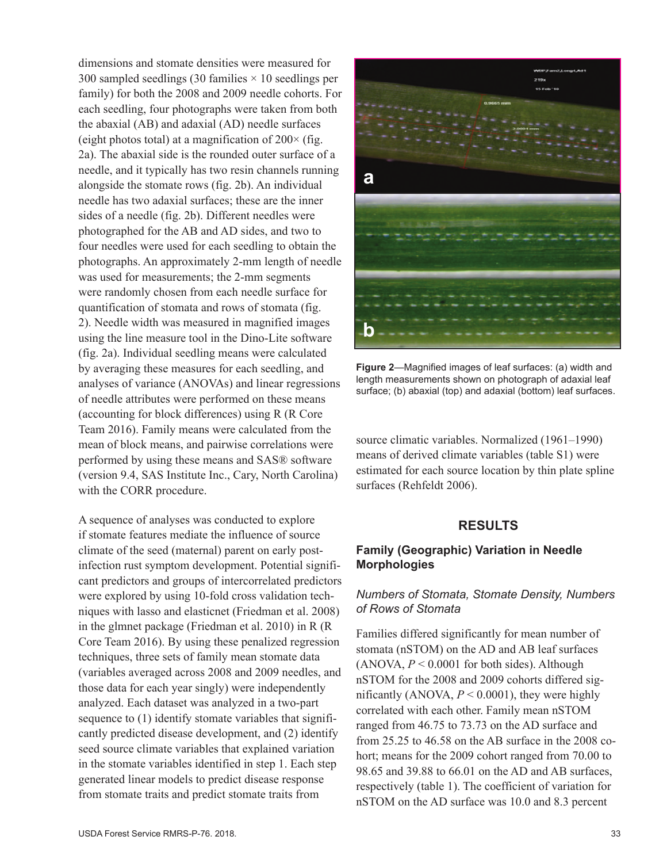dimensions and stomate densities were measured for 300 sampled seedlings (30 families  $\times$  10 seedlings per family) for both the 2008 and 2009 needle cohorts. For each seedling, four photographs were taken from both the abaxial (AB) and adaxial (AD) needle surfaces (eight photos total) at a magnification of  $200 \times$  (fig. 2a). The abaxial side is the rounded outer surface of a needle, and it typically has two resin channels running alongside the stomate rows (fig. 2b). An individual needle has two adaxial surfaces; these are the inner sides of a needle (fig. 2b). Different needles were photographed for the AB and AD sides, and two to four needles were used for each seedling to obtain the photographs. An approximately 2-mm length of needle was used for measurements; the 2-mm segments were randomly chosen from each needle surface for quantification of stomata and rows of stomata (fig. 2). Needle width was measured in magnified images using the line measure tool in the Dino-Lite software (fig. 2a). Individual seedling means were calculated by averaging these measures for each seedling, and analyses of variance (ANOVAs) and linear regressions of needle attributes were performed on these means (accounting for block differences) using R (R Core Team 2016). Family means were calculated from the mean of block means, and pairwise correlations were performed by using these means and SAS® software (version 9.4, SAS Institute Inc., Cary, North Carolina) with the CORR procedure.

A sequence of analyses was conducted to explore if stomate features mediate the influence of source climate of the seed (maternal) parent on early postinfection rust symptom development. Potential significant predictors and groups of intercorrelated predictors were explored by using 10-fold cross validation techniques with lasso and elasticnet (Friedman et al. 2008) in the glmnet package (Friedman et al. 2010) in R (R Core Team 2016). By using these penalized regression techniques, three sets of family mean stomate data (variables averaged across 2008 and 2009 needles, and those data for each year singly) were independently analyzed. Each dataset was analyzed in a two-part sequence to (1) identify stomate variables that significantly predicted disease development, and (2) identify seed source climate variables that explained variation in the stomate variables identified in step 1. Each step generated linear models to predict disease response from stomate traits and predict stomate traits from



**Figure 2**—Magnified images of leaf surfaces: (a) width and length measurements shown on photograph of adaxial leaf surface; (b) abaxial (top) and adaxial (bottom) leaf surfaces.

source climatic variables. Normalized (1961–1990) means of derived climate variables (table S1) were estimated for each source location by thin plate spline surfaces (Rehfeldt 2006).

# **RESULTS**

## **Family (Geographic) Variation in Needle Morphologies**

# *Numbers of Stomata, Stomate Density, Numbers of Rows of Stomata*

Families differed significantly for mean number of stomata (nSTOM) on the AD and AB leaf surfaces (ANOVA,  $P < 0.0001$  for both sides). Although nSTOM for the 2008 and 2009 cohorts differed significantly (ANOVA, *P* < 0.0001), they were highly correlated with each other. Family mean nSTOM ranged from 46.75 to 73.73 on the AD surface and from 25.25 to 46.58 on the AB surface in the 2008 cohort; means for the 2009 cohort ranged from 70.00 to 98.65 and 39.88 to 66.01 on the AD and AB surfaces, respectively (table 1). The coefficient of variation for nSTOM on the AD surface was 10.0 and 8.3 percent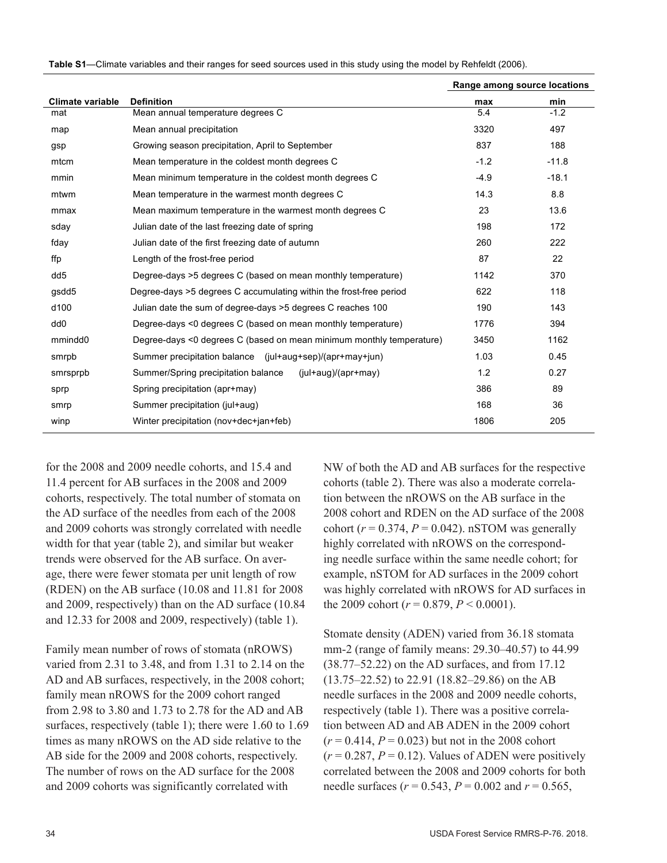|                         |                                                                      | Range among source locations |         |
|-------------------------|----------------------------------------------------------------------|------------------------------|---------|
| <b>Climate variable</b> | <b>Definition</b>                                                    | max                          | min     |
| mat                     | Mean annual temperature degrees C                                    | 5.4                          | $-1.2$  |
| map                     | Mean annual precipitation                                            | 3320                         | 497     |
| gsp                     | Growing season precipitation, April to September                     | 837                          | 188     |
| mtcm                    | Mean temperature in the coldest month degrees C                      | $-1.2$                       | $-11.8$ |
| mmin                    | Mean minimum temperature in the coldest month degrees C              | $-4.9$                       | $-18.1$ |
| mtwm                    | Mean temperature in the warmest month degrees C                      | 14.3                         | 8.8     |
| mmax                    | Mean maximum temperature in the warmest month degrees C              | 23                           | 13.6    |
| sday                    | Julian date of the last freezing date of spring                      | 198                          | 172     |
| fday                    | Julian date of the first freezing date of autumn                     | 260                          | 222     |
| ffp                     | Length of the frost-free period                                      | 87                           | 22      |
| dd <sub>5</sub>         | Degree-days >5 degrees C (based on mean monthly temperature)         | 1142                         | 370     |
| gsdd5                   | Degree-days >5 degrees C accumulating within the frost-free period   | 622                          | 118     |
| d <sub>100</sub>        | Julian date the sum of degree-days >5 degrees C reaches 100          | 190                          | 143     |
| dd <sub>0</sub>         | Degree-days <0 degrees C (based on mean monthly temperature)         | 1776                         | 394     |
| mmindd0                 | Degree-days <0 degrees C (based on mean minimum monthly temperature) | 3450                         | 1162    |
| smrpb                   | Summer precipitation balance (jul+aug+sep)/(apr+may+jun)             | 1.03                         | 0.45    |
| smrsprpb                | Summer/Spring precipitation balance<br>$(iul+aug)/(apr+may)$         | 1.2                          | 0.27    |
| sprp                    | Spring precipitation (apr+may)                                       | 386                          | 89      |
| smrp                    | Summer precipitation (jul+aug)                                       | 168                          | 36      |
| winp                    | Winter precipitation (nov+dec+jan+feb)                               | 1806                         | 205     |

**Table S1**—Climate variables and their ranges for seed sources used in this study using the model by Rehfeldt (2006).

for the 2008 and 2009 needle cohorts, and 15.4 and 11.4 percent for AB surfaces in the 2008 and 2009 cohorts, respectively. The total number of stomata on the AD surface of the needles from each of the 2008 and 2009 cohorts was strongly correlated with needle width for that year (table 2), and similar but weaker trends were observed for the AB surface. On average, there were fewer stomata per unit length of row (RDEN) on the AB surface (10.08 and 11.81 for 2008 and 2009, respectively) than on the AD surface (10.84 and 12.33 for 2008 and 2009, respectively) (table 1).

Family mean number of rows of stomata (nROWS) varied from 2.31 to 3.48, and from 1.31 to 2.14 on the AD and AB surfaces, respectively, in the 2008 cohort; family mean nROWS for the 2009 cohort ranged from 2.98 to 3.80 and 1.73 to 2.78 for the AD and AB surfaces, respectively (table 1); there were 1.60 to 1.69 times as many nROWS on the AD side relative to the AB side for the 2009 and 2008 cohorts, respectively. The number of rows on the AD surface for the 2008 and 2009 cohorts was significantly correlated with

NW of both the AD and AB surfaces for the respective cohorts (table 2). There was also a moderate correlation between the nROWS on the AB surface in the 2008 cohort and RDEN on the AD surface of the 2008 cohort ( $r = 0.374$ ,  $P = 0.042$ ). nSTOM was generally highly correlated with nROWS on the corresponding needle surface within the same needle cohort; for example, nSTOM for AD surfaces in the 2009 cohort was highly correlated with nROWS for AD surfaces in the 2009 cohort ( $r = 0.879$ ,  $P < 0.0001$ ).

Stomate density (ADEN) varied from 36.18 stomata mm-2 (range of family means: 29.30–40.57) to 44.99 (38.77–52.22) on the AD surfaces, and from 17.12 (13.75–22.52) to 22.91 (18.82–29.86) on the AB needle surfaces in the 2008 and 2009 needle cohorts, respectively (table 1). There was a positive correlation between AD and AB ADEN in the 2009 cohort  $(r = 0.414, P = 0.023)$  but not in the 2008 cohort  $(r = 0.287, P = 0.12)$ . Values of ADEN were positively correlated between the 2008 and 2009 cohorts for both needle surfaces (*r* = 0.543, *P* = 0.002 and *r* = 0.565,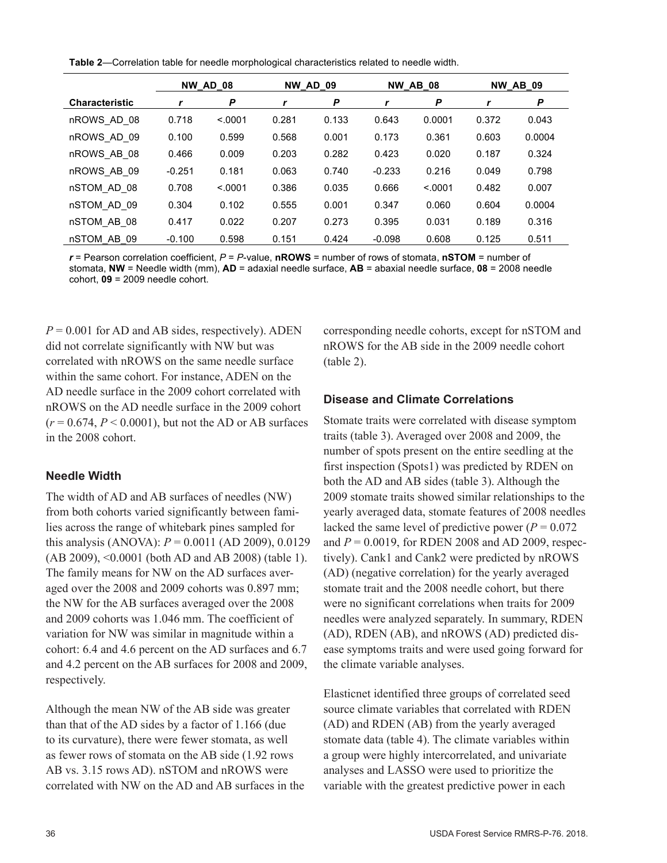**Table 2**—Correlation table for needle morphological characteristics related to needle width.

|                       |          | <b>NW AD 08</b> |       | <b>NW AD 09</b> |          | <b>NW AB 08</b> |       | <b>NW AB 09</b> |
|-----------------------|----------|-----------------|-------|-----------------|----------|-----------------|-------|-----------------|
| <b>Characteristic</b> |          | P               |       | P               | r        | P               |       | P               |
| nROWS AD 08           | 0.718    | < 0.001         | 0.281 | 0.133           | 0.643    | 0.0001          | 0.372 | 0.043           |
| nROWS AD 09           | 0.100    | 0.599           | 0.568 | 0.001           | 0.173    | 0.361           | 0.603 | 0.0004          |
| nROWS AB 08           | 0.466    | 0.009           | 0.203 | 0.282           | 0.423    | 0.020           | 0.187 | 0.324           |
| nROWS AB 09           | $-0.251$ | 0.181           | 0.063 | 0.740           | $-0.233$ | 0.216           | 0.049 | 0.798           |
| nSTOM AD 08           | 0.708    | < 0.001         | 0.386 | 0.035           | 0.666    | < 0001          | 0.482 | 0.007           |
| nSTOM AD 09           | 0.304    | 0.102           | 0.555 | 0.001           | 0.347    | 0.060           | 0.604 | 0.0004          |
| nSTOM AB 08           | 0.417    | 0.022           | 0.207 | 0.273           | 0.395    | 0.031           | 0.189 | 0.316           |
| nSTOM AB 09           | $-0.100$ | 0.598           | 0.151 | 0.424           | $-0.098$ | 0.608           | 0.125 | 0.511           |

*r* = Pearson correlation coefficient, *P* = *P*-value, **nROWS** = number of rows of stomata, **nSTOM** = number of stomata, **NW** = Needle width (mm), **AD** = adaxial needle surface, **AB** = abaxial needle surface, **08** = 2008 needle cohort, **09** = 2009 needle cohort.

 $P = 0.001$  for AD and AB sides, respectively). ADEN did not correlate significantly with NW but was correlated with nROWS on the same needle surface within the same cohort. For instance, ADEN on the AD needle surface in the 2009 cohort correlated with nROWS on the AD needle surface in the 2009 cohort  $(r = 0.674, P \le 0.0001)$ , but not the AD or AB surfaces in the 2008 cohort.

### **Needle Width**

The width of AD and AB surfaces of needles (NW) from both cohorts varied significantly between families across the range of whitebark pines sampled for this analysis (ANOVA): *P* = 0.0011 (AD 2009), 0.0129 (AB 2009), <0.0001 (both AD and AB 2008) (table 1). The family means for NW on the AD surfaces averaged over the 2008 and 2009 cohorts was 0.897 mm; the NW for the AB surfaces averaged over the 2008 and 2009 cohorts was 1.046 mm. The coefficient of variation for NW was similar in magnitude within a cohort: 6.4 and 4.6 percent on the AD surfaces and 6.7 and 4.2 percent on the AB surfaces for 2008 and 2009, respectively.

Although the mean NW of the AB side was greater than that of the AD sides by a factor of 1.166 (due to its curvature), there were fewer stomata, as well as fewer rows of stomata on the AB side (1.92 rows AB vs. 3.15 rows AD). nSTOM and nROWS were correlated with NW on the AD and AB surfaces in the corresponding needle cohorts, except for nSTOM and nROWS for the AB side in the 2009 needle cohort (table 2).

### **Disease and Climate Correlations**

Stomate traits were correlated with disease symptom traits (table 3). Averaged over 2008 and 2009, the number of spots present on the entire seedling at the first inspection (Spots1) was predicted by RDEN on both the AD and AB sides (table 3). Although the 2009 stomate traits showed similar relationships to the yearly averaged data, stomate features of 2008 needles lacked the same level of predictive power ( $P = 0.072$ ) and *P* = 0.0019, for RDEN 2008 and AD 2009, respectively). Cank1 and Cank2 were predicted by nROWS (AD) (negative correlation) for the yearly averaged stomate trait and the 2008 needle cohort, but there were no significant correlations when traits for 2009 needles were analyzed separately. In summary, RDEN (AD), RDEN (AB), and nROWS (AD) predicted disease symptoms traits and were used going forward for the climate variable analyses.

Elasticnet identified three groups of correlated seed source climate variables that correlated with RDEN (AD) and RDEN (AB) from the yearly averaged stomate data (table 4). The climate variables within a group were highly intercorrelated, and univariate analyses and LASSO were used to prioritize the variable with the greatest predictive power in each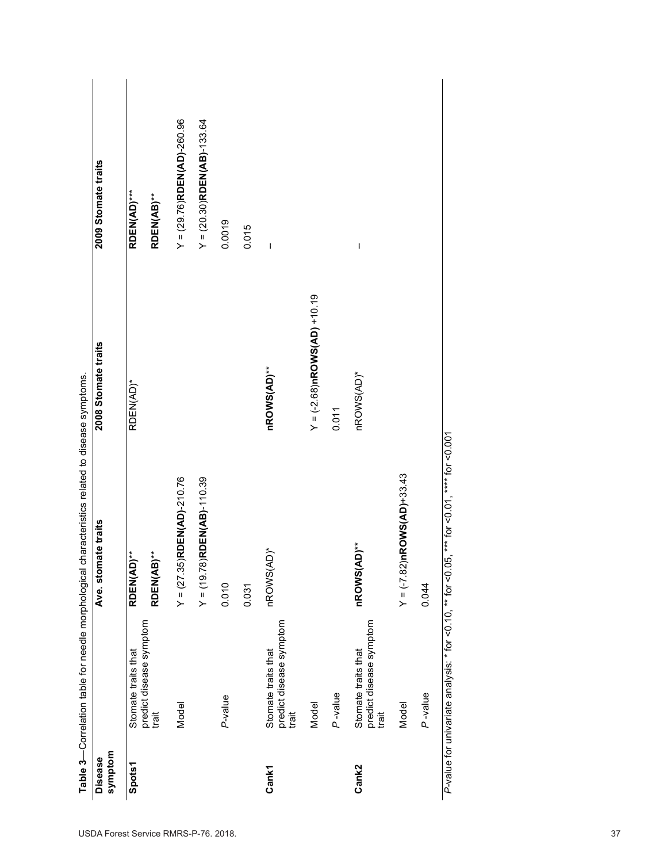| symptom<br><b>Disease</b> |                                                         | stomate traits<br>Ave.        | 2008 Stomate traits            | 2009 Stomate traits           |
|---------------------------|---------------------------------------------------------|-------------------------------|--------------------------------|-------------------------------|
| <b>Spots1</b>             | Stomate traits that                                     | RDEN(AD)**                    | RDEN(AD)*                      | <b>RDEN(AD)***</b>            |
|                           | predict disease symptom<br>trait                        | RDEN(AB)**                    |                                | RDEN(AB)**                    |
|                           | Model                                                   | $Y = (27.35)$ RDEN(AD)-210.76 |                                | $Y = (29.76)$ RDEN(AD)-260.96 |
|                           |                                                         | $Y = (19.78)$ RDEN(AB)-110.39 |                                | $Y = (20.30)$ RDEN(AB)-133.64 |
|                           | P-value                                                 | 0.010                         |                                | 0.0019                        |
|                           |                                                         | 0.031                         |                                | 0.015                         |
| <b>Cank1</b>              | predict disease symptom<br>Stomate traits that<br>trait | nROWS(AD)*                    | nROWS(AD)**                    | $\mathbf i$                   |
|                           | Model                                                   |                               | $Y = (-2.68)$ nROWS(AD) +10.19 |                               |
|                           | P-value                                                 |                               | 0.011                          |                               |
| Cank2                     | predict disease symptom<br>Stomate traits that<br>trait | nROWS(AD)**                   | nROWS(AD)*                     | ł                             |
|                           | Model                                                   | $Y = (-7.82)$ nROWS(AD)+33.43 |                                |                               |
|                           | P-value                                                 | 0.044                         |                                |                               |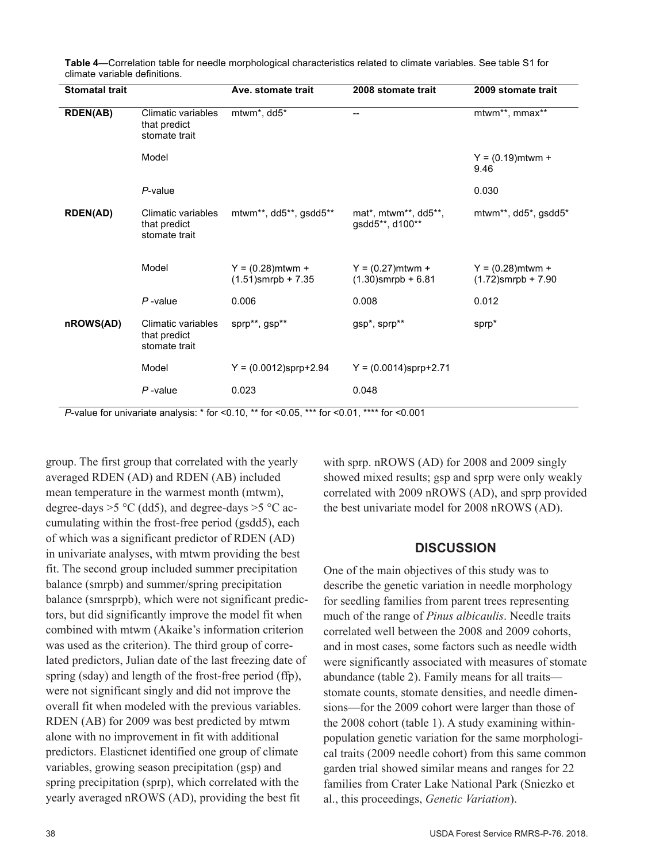| <b>Stomatal trait</b> |                                                     | Ave. stomate trait                           | 2008 stomate trait                           | 2009 stomate trait                           |
|-----------------------|-----------------------------------------------------|----------------------------------------------|----------------------------------------------|----------------------------------------------|
| <b>RDEN(AB)</b>       | Climatic variables<br>that predict<br>stomate trait | mtwm*, dd5*                                  | --                                           | mtwm**, mmax**                               |
|                       | Model                                               |                                              |                                              | $Y = (0.19)$ mtwm +<br>9.46                  |
|                       | $P$ -value                                          |                                              |                                              | 0.030                                        |
| <b>RDEN(AD)</b>       | Climatic variables<br>that predict<br>stomate trait | mtwm**, dd5**, gsdd5**                       | mat*, mtwm**, dd5**,<br>gsdd5**, d100**      | mtwm**, dd5*, gsdd5*                         |
|                       | Model                                               | $Y = (0.28)$ mtwm +<br>$(1.51)$ smrpb + 7.35 | $Y = (0.27)$ mtwm +<br>$(1.30)$ smrpb + 6.81 | $Y = (0.28)$ mtwm +<br>$(1.72)$ smrpb + 7.90 |
|                       | $P$ -value                                          | 0.006                                        | 0.008                                        | 0.012                                        |
| nROWS(AD)             | Climatic variables<br>that predict<br>stomate trait | sprp**, gsp**                                | gsp*, sprp**                                 | sprp*                                        |
|                       | Model                                               | $Y = (0.0012)$ sprp+2.94                     | $Y = (0.0014)$ sprp+2.71                     |                                              |
|                       | $P$ -value                                          | 0.023                                        | 0.048                                        |                                              |

**Table 4**—Correlation table for needle morphological characteristics related to climate variables. See table S1 for climate variable definitions.

*P*-value for univariate analysis: \* for <0.10, \*\* for <0.05, \*\*\* for <0.01, \*\*\*\* for <0.001

group. The first group that correlated with the yearly averaged RDEN (AD) and RDEN (AB) included mean temperature in the warmest month (mtwm), degree-days  $>5$  °C (dd5), and degree-days  $>5$  °C accumulating within the frost-free period (gsdd5), each of which was a significant predictor of RDEN (AD) in univariate analyses, with mtwm providing the best fit. The second group included summer precipitation balance (smrpb) and summer/spring precipitation balance (smrsprpb), which were not significant predictors, but did significantly improve the model fit when combined with mtwm (Akaike's information criterion was used as the criterion). The third group of correlated predictors, Julian date of the last freezing date of spring (sday) and length of the frost-free period (ffp), were not significant singly and did not improve the overall fit when modeled with the previous variables. RDEN (AB) for 2009 was best predicted by mtwm alone with no improvement in fit with additional predictors. Elasticnet identified one group of climate variables, growing season precipitation (gsp) and spring precipitation (sprp), which correlated with the yearly averaged nROWS (AD), providing the best fit

with sprp. nROWS (AD) for 2008 and 2009 singly showed mixed results; gsp and sprp were only weakly correlated with 2009 nROWS (AD), and sprp provided the best univariate model for 2008 nROWS (AD).

### **DISCUSSION**

One of the main objectives of this study was to describe the genetic variation in needle morphology for seedling families from parent trees representing much of the range of *Pinus albicaulis*. Needle traits correlated well between the 2008 and 2009 cohorts, and in most cases, some factors such as needle width were significantly associated with measures of stomate abundance (table 2). Family means for all traits stomate counts, stomate densities, and needle dimensions—for the 2009 cohort were larger than those of the 2008 cohort (table 1). A study examining withinpopulation genetic variation for the same morphological traits (2009 needle cohort) from this same common garden trial showed similar means and ranges for 22 families from Crater Lake National Park (Sniezko et al., this proceedings, *Genetic Variation*).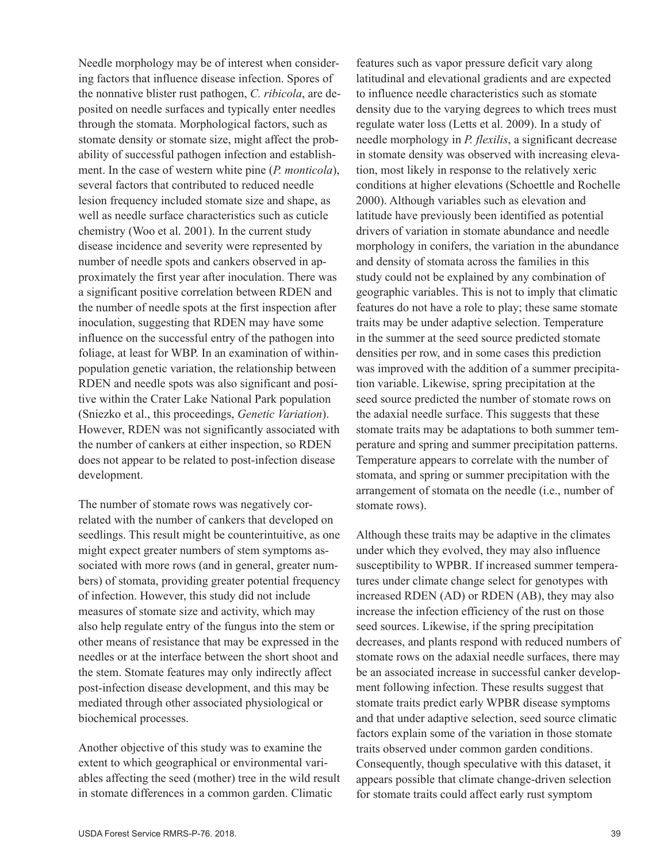Needle morphology may be of interest when considering factors that influence disease infection. Spores of the nonnative blister rust pathogen, *C. ribicola*, are deposited on needle surfaces and typically enter needles through the stomata. Morphological factors, such as stomate density or stomate size, might affect the probability of successful pathogen infection and establishment. In the case of western white pine (*P. monticola*), several factors that contributed to reduced needle lesion frequency included stomate size and shape, as well as needle surface characteristics such as cuticle chemistry (Woo et al. 2001). In the current study disease incidence and severity were represented by number of needle spots and cankers observed in approximately the first year after inoculation. There was a significant positive correlation between RDEN and the number of needle spots at the first inspection after inoculation, suggesting that RDEN may have some influence on the successful entry of the pathogen into foliage, at least for WBP. In an examination of withinpopulation genetic variation, the relationship between RDEN and needle spots was also significant and positive within the Crater Lake National Park population (Sniezko et al., this proceedings, *Genetic Variation*). However, RDEN was not significantly associated with the number of cankers at either inspection, so RDEN does not appear to be related to post-infection disease development.

The number of stomate rows was negatively correlated with the number of cankers that developed on seedlings. This result might be counterintuitive, as one might expect greater numbers of stem symptoms associated with more rows (and in general, greater numbers) of stomata, providing greater potential frequency of infection. However, this study did not include measures of stomate size and activity, which may also help regulate entry of the fungus into the stem or other means of resistance that may be expressed in the needles or at the interface between the short shoot and the stem. Stomate features may only indirectly affect post-infection disease development, and this may be mediated through other associated physiological or biochemical processes.

Another objective of this study was to examine the extent to which geographical or environmental variables affecting the seed (mother) tree in the wild result in stomate differences in a common garden. Climatic

features such as vapor pressure deficit vary along latitudinal and elevational gradients and are expected to influence needle characteristics such as stomate density due to the varying degrees to which trees must regulate water loss (Letts et al. 2009). In a study of needle morphology in *P. flexilis*, a significant decrease in stomate density was observed with increasing elevation, most likely in response to the relatively xeric conditions at higher elevations (Schoettle and Rochelle 2000). Although variables such as elevation and latitude have previously been identified as potential drivers of variation in stomate abundance and needle morphology in conifers, the variation in the abundance and density of stomata across the families in this study could not be explained by any combination of geographic variables. This is not to imply that climatic features do not have a role to play; these same stomate traits may be under adaptive selection. Temperature in the summer at the seed source predicted stomate densities per row, and in some cases this prediction was improved with the addition of a summer precipitation variable. Likewise, spring precipitation at the seed source predicted the number of stomate rows on the adaxial needle surface. This suggests that these stomate traits may be adaptations to both summer temperature and spring and summer precipitation patterns. Temperature appears to correlate with the number of stomata, and spring or summer precipitation with the arrangement of stomata on the needle (i.e., number of stomate rows).

Although these traits may be adaptive in the climates under which they evolved, they may also influence susceptibility to WPBR. If increased summer temperatures under climate change select for genotypes with increased RDEN (AD) or RDEN (AB), they may also increase the infection efficiency of the rust on those seed sources. Likewise, if the spring precipitation decreases, and plants respond with reduced numbers of stomate rows on the adaxial needle surfaces, there may be an associated increase in successful canker development following infection. These results suggest that stomate traits predict early WPBR disease symptoms and that under adaptive selection, seed source climatic factors explain some of the variation in those stomate traits observed under common garden conditions. Consequently, though speculative with this dataset, it appears possible that climate change-driven selection for stomate traits could affect early rust symptom